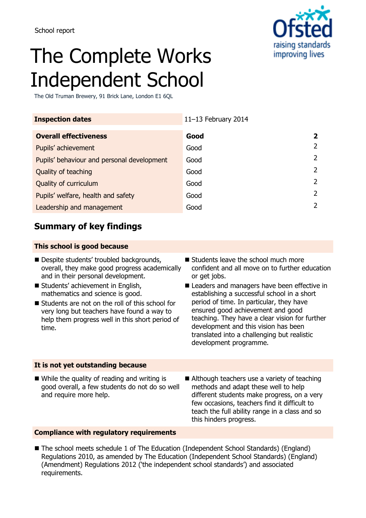

# The Complete Works Independent School

The Old Truman Brewery, 91 Brick Lane, London E1 6QL

| <b>Inspection dates</b>                    | 11-13 February 2014 |                |
|--------------------------------------------|---------------------|----------------|
| <b>Overall effectiveness</b>               | Good                | $\mathbf{2}$   |
| Pupils' achievement                        | Good                | $\overline{2}$ |
| Pupils' behaviour and personal development | Good                | $\mathcal{L}$  |
| Quality of teaching                        | Good                | $\mathcal{P}$  |
| Quality of curriculum                      | Good                | 2              |
| Pupils' welfare, health and safety         | Good                | 2              |
| Leadership and management                  | Good                | $\mathcal{P}$  |

## **Summary of key findings**

### **This school is good because**

- Despite students' troubled backgrounds, overall, they make good progress academically and in their personal development.
- Students' achievement in English, mathematics and science is good.
- Students are not on the roll of this school for very long but teachers have found a way to help them progress well in this short period of time.
- Students leave the school much more confident and all move on to further education or get jobs.
- Leaders and managers have been effective in establishing a successful school in a short period of time. In particular, they have ensured good achievement and good teaching. They have a clear vision for further development and this vision has been translated into a challenging but realistic development programme.

### **It is not yet outstanding because**

- While the quality of reading and writing is good overall, a few students do not do so well and require more help.
- Although teachers use a variety of teaching methods and adapt these well to help different students make progress, on a very few occasions, teachers find it difficult to teach the full ability range in a class and so this hinders progress.

## **Compliance with regulatory requirements**

■ The school meets schedule 1 of The Education (Independent School Standards) (England) Regulations 2010, as amended by The Education (Independent School Standards) (England) (Amendment) Regulations 2012 ('the independent school standards') and associated requirements.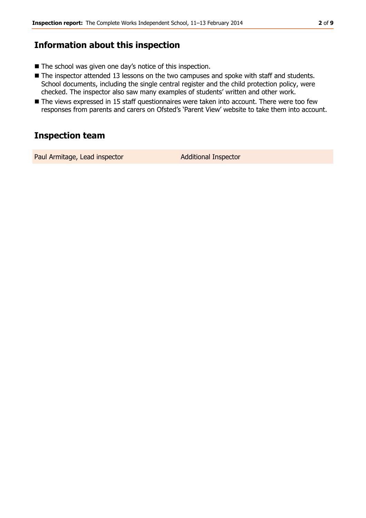## **Information about this inspection**

- The school was given one day's notice of this inspection.
- The inspector attended 13 lessons on the two campuses and spoke with staff and students. School documents, including the single central register and the child protection policy, were checked. The inspector also saw many examples of students' written and other work.
- The views expressed in 15 staff questionnaires were taken into account. There were too few responses from parents and carers on Ofsted's 'Parent View' website to take them into account.

## **Inspection team**

Paul Armitage, Lead inspector **Additional Inspector**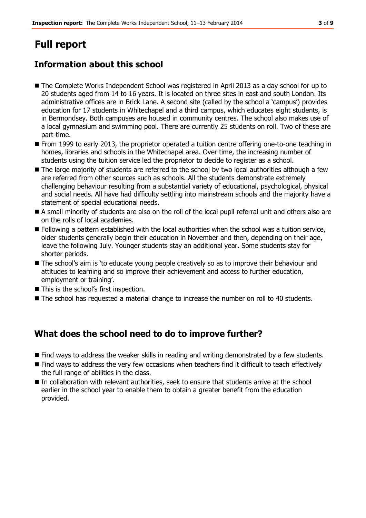# **Full report**

## **Information about this school**

- The Complete Works Independent School was registered in April 2013 as a day school for up to 20 students aged from 14 to 16 years. It is located on three sites in east and south London. Its administrative offices are in Brick Lane. A second site (called by the school a 'campus') provides education for 17 students in Whitechapel and a third campus, which educates eight students, is in Bermondsey. Both campuses are housed in community centres. The school also makes use of a local gymnasium and swimming pool. There are currently 25 students on roll. Two of these are part-time.
- **From 1999 to early 2013, the proprietor operated a tuition centre offering one-to-one teaching in** homes, libraries and schools in the Whitechapel area. Over time, the increasing number of students using the tuition service led the proprietor to decide to register as a school.
- The large majority of students are referred to the school by two local authorities although a few are referred from other sources such as schools. All the students demonstrate extremely challenging behaviour resulting from a substantial variety of educational, psychological, physical and social needs. All have had difficulty settling into mainstream schools and the majority have a statement of special educational needs.
- A small minority of students are also on the roll of the local pupil referral unit and others also are on the rolls of local academies.
- **Following a pattern established with the local authorities when the school was a tuition service,** older students generally begin their education in November and then, depending on their age, leave the following July. Younger students stay an additional year. Some students stay for shorter periods.
- The school's aim is 'to educate young people creatively so as to improve their behaviour and attitudes to learning and so improve their achievement and access to further education, employment or training'.
- This is the school's first inspection.
- The school has requested a material change to increase the number on roll to 40 students.

## **What does the school need to do to improve further?**

- Find ways to address the weaker skills in reading and writing demonstrated by a few students.
- Find ways to address the very few occasions when teachers find it difficult to teach effectively the full range of abilities in the class.
- In collaboration with relevant authorities, seek to ensure that students arrive at the school earlier in the school year to enable them to obtain a greater benefit from the education provided.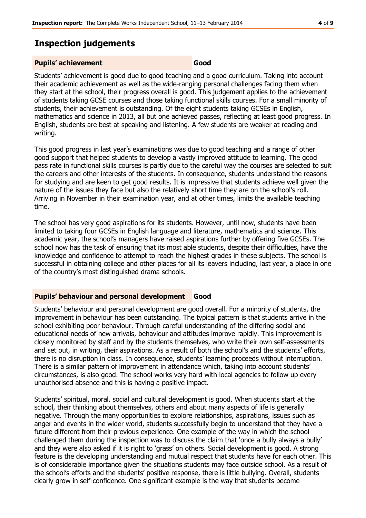## **Inspection judgements**

#### **Pupils' achievement Good**

Students' achievement is good due to good teaching and a good curriculum. Taking into account their academic achievement as well as the wide-ranging personal challenges facing them when they start at the school, their progress overall is good. This judgement applies to the achievement of students taking GCSE courses and those taking functional skills courses. For a small minority of students, their achievement is outstanding. Of the eight students taking GCSEs in English, mathematics and science in 2013, all but one achieved passes, reflecting at least good progress. In English, students are best at speaking and listening. A few students are weaker at reading and writing.

This good progress in last year's examinations was due to good teaching and a range of other good support that helped students to develop a vastly improved attitude to learning. The good pass rate in functional skills courses is partly due to the careful way the courses are selected to suit the careers and other interests of the students. In consequence, students understand the reasons for studying and are keen to get good results. It is impressive that students achieve well given the nature of the issues they face but also the relatively short time they are on the school's roll. Arriving in November in their examination year, and at other times, limits the available teaching time.

The school has very good aspirations for its students. However, until now, students have been limited to taking four GCSEs in English language and literature, mathematics and science. This academic year, the school's managers have raised aspirations further by offering five GCSEs. The school now has the task of ensuring that its most able students, despite their difficulties, have the knowledge and confidence to attempt to reach the highest grades in these subjects. The school is successful in obtaining college and other places for all its leavers including, last year, a place in one of the country's most distinguished drama schools.

#### **Pupils' behaviour and personal development Good**

Students' behaviour and personal development are good overall. For a minority of students, the improvement in behaviour has been outstanding. The typical pattern is that students arrive in the school exhibiting poor behaviour. Through careful understanding of the differing social and educational needs of new arrivals, behaviour and attitudes improve rapidly. This improvement is closely monitored by staff and by the students themselves, who write their own self-assessments and set out, in writing, their aspirations. As a result of both the school's and the students' efforts, there is no disruption in class. In consequence, students' learning proceeds without interruption. There is a similar pattern of improvement in attendance which, taking into account students' circumstances, is also good. The school works very hard with local agencies to follow up every unauthorised absence and this is having a positive impact.

Students' spiritual, moral, social and cultural development is good. When students start at the school, their thinking about themselves, others and about many aspects of life is generally negative. Through the many opportunities to explore relationships, aspirations, issues such as anger and events in the wider world, students successfully begin to understand that they have a future different from their previous experience. One example of the way in which the school challenged them during the inspection was to discuss the claim that 'once a bully always a bully' and they were also asked if it is right to 'grass' on others. Social development is good. A strong feature is the developing understanding and mutual respect that students have for each other. This is of considerable importance given the situations students may face outside school. As a result of the school's efforts and the students' positive response, there is little bullying. Overall, students clearly grow in self-confidence. One significant example is the way that students become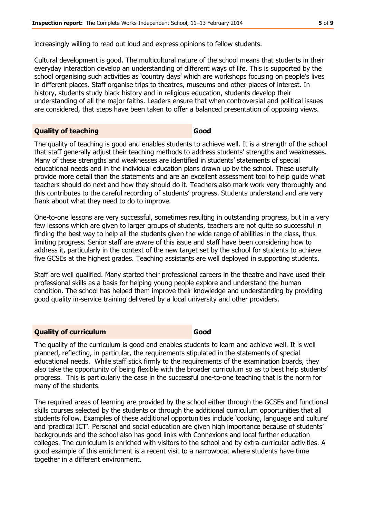increasingly willing to read out loud and express opinions to fellow students.

Cultural development is good. The multicultural nature of the school means that students in their everyday interaction develop an understanding of different ways of life. This is supported by the school organising such activities as 'country days' which are workshops focusing on people's lives in different places. Staff organise trips to theatres, museums and other places of interest. In history, students study black history and in religious education, students develop their understanding of all the major faiths. Leaders ensure that when controversial and political issues are considered, that steps have been taken to offer a balanced presentation of opposing views.

### **Quality of teaching Good**

The quality of teaching is good and enables students to achieve well. It is a strength of the school that staff generally adjust their teaching methods to address students' strengths and weaknesses. Many of these strengths and weaknesses are identified in students' statements of special educational needs and in the individual education plans drawn up by the school. These usefully provide more detail than the statements and are an excellent assessment tool to help guide what teachers should do next and how they should do it. Teachers also mark work very thoroughly and this contributes to the careful recording of students' progress. Students understand and are very frank about what they need to do to improve.

One-to-one lessons are very successful, sometimes resulting in outstanding progress, but in a very few lessons which are given to larger groups of students, teachers are not quite so successful in finding the best way to help all the students given the wide range of abilities in the class, thus limiting progress. Senior staff are aware of this issue and staff have been considering how to address it, particularly in the context of the new target set by the school for students to achieve five GCSEs at the highest grades. Teaching assistants are well deployed in supporting students.

Staff are well qualified. Many started their professional careers in the theatre and have used their professional skills as a basis for helping young people explore and understand the human condition. The school has helped them improve their knowledge and understanding by providing good quality in-service training delivered by a local university and other providers.

## **Quality of curriculum Good**

The quality of the curriculum is good and enables students to learn and achieve well. It is well planned, reflecting, in particular, the requirements stipulated in the statements of special educational needs. While staff stick firmly to the requirements of the examination boards, they also take the opportunity of being flexible with the broader curriculum so as to best help students' progress. This is particularly the case in the successful one-to-one teaching that is the norm for many of the students.

The required areas of learning are provided by the school either through the GCSEs and functional skills courses selected by the students or through the additional curriculum opportunities that all students follow. Examples of these additional opportunities include 'cooking, language and culture' and 'practical ICT'. Personal and social education are given high importance because of students' backgrounds and the school also has good links with Connexions and local further education colleges. The curriculum is enriched with visitors to the school and by extra-curricular activities. A good example of this enrichment is a recent visit to a narrowboat where students have time together in a different environment.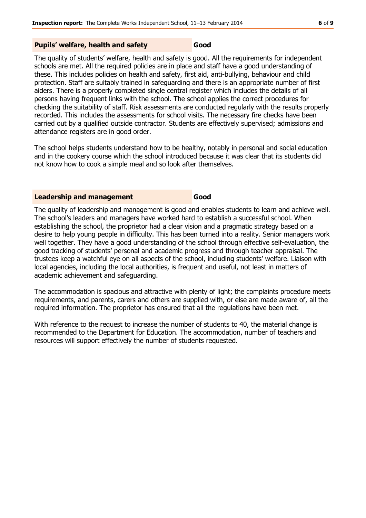#### **Pupils' welfare, health and safety Good**

The quality of students' welfare, health and safety is good. All the requirements for independent schools are met. All the required policies are in place and staff have a good understanding of these. This includes policies on health and safety, first aid, anti-bullying, behaviour and child protection. Staff are suitably trained in safeguarding and there is an appropriate number of first aiders. There is a properly completed single central register which includes the details of all persons having frequent links with the school. The school applies the correct procedures for checking the suitability of staff. Risk assessments are conducted regularly with the results properly recorded. This includes the assessments for school visits. The necessary fire checks have been carried out by a qualified outside contractor. Students are effectively supervised; admissions and attendance registers are in good order.

The school helps students understand how to be healthy, notably in personal and social education and in the cookery course which the school introduced because it was clear that its students did not know how to cook a simple meal and so look after themselves.

#### **Leadership and management Good**

The quality of leadership and management is good and enables students to learn and achieve well. The school's leaders and managers have worked hard to establish a successful school. When establishing the school, the proprietor had a clear vision and a pragmatic strategy based on a desire to help young people in difficulty. This has been turned into a reality. Senior managers work well together. They have a good understanding of the school through effective self-evaluation, the good tracking of students' personal and academic progress and through teacher appraisal. The trustees keep a watchful eye on all aspects of the school, including students' welfare. Liaison with local agencies, including the local authorities, is frequent and useful, not least in matters of academic achievement and safeguarding.

The accommodation is spacious and attractive with plenty of light; the complaints procedure meets requirements, and parents, carers and others are supplied with, or else are made aware of, all the required information. The proprietor has ensured that all the regulations have been met.

With reference to the request to increase the number of students to 40, the material change is recommended to the Department for Education. The accommodation, number of teachers and resources will support effectively the number of students requested.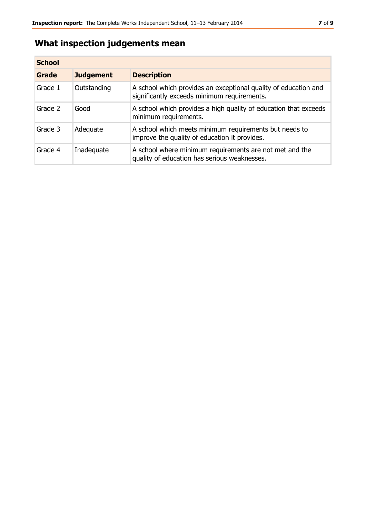## **What inspection judgements mean**

| <b>School</b> |                  |                                                                                                                |
|---------------|------------------|----------------------------------------------------------------------------------------------------------------|
| Grade         | <b>Judgement</b> | <b>Description</b>                                                                                             |
| Grade 1       | Outstanding      | A school which provides an exceptional quality of education and<br>significantly exceeds minimum requirements. |
| Grade 2       | Good             | A school which provides a high quality of education that exceeds<br>minimum requirements.                      |
| Grade 3       | Adequate         | A school which meets minimum requirements but needs to<br>improve the quality of education it provides.        |
| Grade 4       | Inadequate       | A school where minimum requirements are not met and the<br>quality of education has serious weaknesses.        |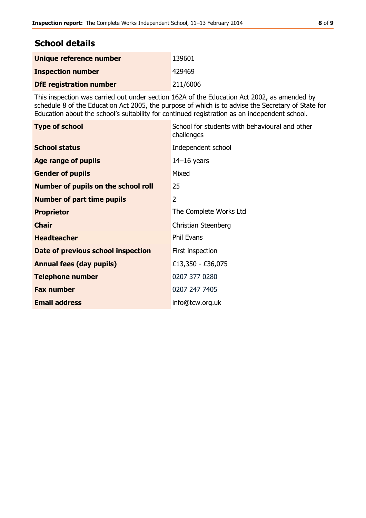| <b>School details</b>                 |        |  |
|---------------------------------------|--------|--|
| Unique reference number               | 139601 |  |
| . The was a while to be concerted and | 12010  |  |

| <b>Inspection number</b>       | 429469   |
|--------------------------------|----------|
| <b>DfE</b> registration number | 211/6006 |

This inspection was carried out under section 162A of the Education Act 2002, as amended by schedule 8 of the Education Act 2005, the purpose of which is to advise the Secretary of State for Education about the school's suitability for continued registration as an independent school.

| <b>Type of school</b>               | School for students with behavioural and other<br>challenges |
|-------------------------------------|--------------------------------------------------------------|
| <b>School status</b>                | Independent school                                           |
| <b>Age range of pupils</b>          | $14-16$ years                                                |
| <b>Gender of pupils</b>             | Mixed                                                        |
| Number of pupils on the school roll | 25                                                           |
| <b>Number of part time pupils</b>   | 2                                                            |
| <b>Proprietor</b>                   | The Complete Works Ltd                                       |
| <b>Chair</b>                        | Christian Steenberg                                          |
| <b>Headteacher</b>                  | <b>Phil Evans</b>                                            |
| Date of previous school inspection  | First inspection                                             |
| <b>Annual fees (day pupils)</b>     | £13,350 - £36,075                                            |
| <b>Telephone number</b>             | 0207 377 0280                                                |
| <b>Fax number</b>                   | 0207 247 7405                                                |
| <b>Email address</b>                | info@tcw.org.uk                                              |